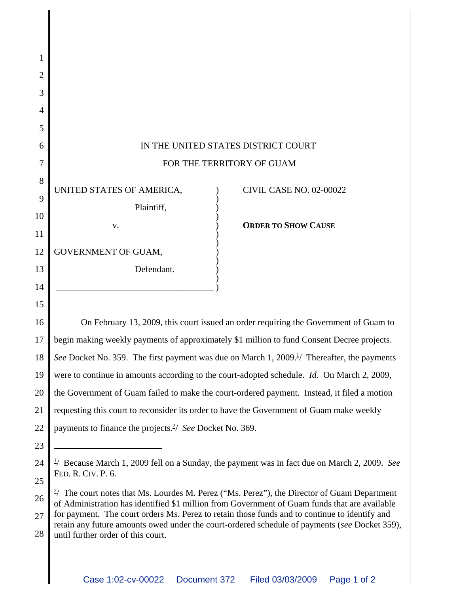| 1  |                                                                                                         |
|----|---------------------------------------------------------------------------------------------------------|
| 2  |                                                                                                         |
| 3  |                                                                                                         |
| 4  |                                                                                                         |
| 5  |                                                                                                         |
| 6  | IN THE UNITED STATES DISTRICT COURT                                                                     |
| 7  | FOR THE TERRITORY OF GUAM                                                                               |
| 8  | UNITED STATES OF AMERICA,<br><b>CIVIL CASE NO. 02-00022</b>                                             |
| 9  |                                                                                                         |
| 10 | Plaintiff,                                                                                              |
| 11 | <b>ORDER TO SHOW CAUSE</b><br>V.                                                                        |
| 12 | <b>GOVERNMENT OF GUAM,</b>                                                                              |
| 13 | Defendant.                                                                                              |
| 14 |                                                                                                         |
| 15 |                                                                                                         |
| 16 | On February 13, 2009, this court issued an order requiring the Government of Guam to                    |
| 17 | begin making weekly payments of approximately \$1 million to fund Consent Decree projects.              |
| 18 | See Docket No. 359. The first payment was due on March 1, 2009. <sup>1</sup> / Thereafter, the payments |
| 19 | were to continue in amounts according to the court-adopted schedule. Id. On March 2, 2009,              |
| 20 | the Government of Guam failed to make the court-ordered payment. Instead, it filed a motion             |
| 21 | requesting this court to reconsider its order to have the Government of Guam make weekly                |
| 22 | payments to finance the projects. <sup>2</sup> / See Docket No. 369.                                    |
| 23 |                                                                                                         |
| 24 | $\frac{1}{2}$ Because March 1, 2009 fell on a Sunday, the payment was in fact due on March 2, 2009. See |
| 25 | FED. R. CIV. P. 6.                                                                                      |

<sup>26</sup>  $^{2/}$  The court notes that Ms. Lourdes M. Perez ("Ms. Perez"), the Director of Guam Department of Administration has identified \$1 million from Government of Guam funds that are available

<sup>27</sup> 28 for payment. The court orders Ms. Perez to retain those funds and to continue to identify and retain any future amounts owed under the court-ordered schedule of payments (*see* Docket 359), until further order of this court.